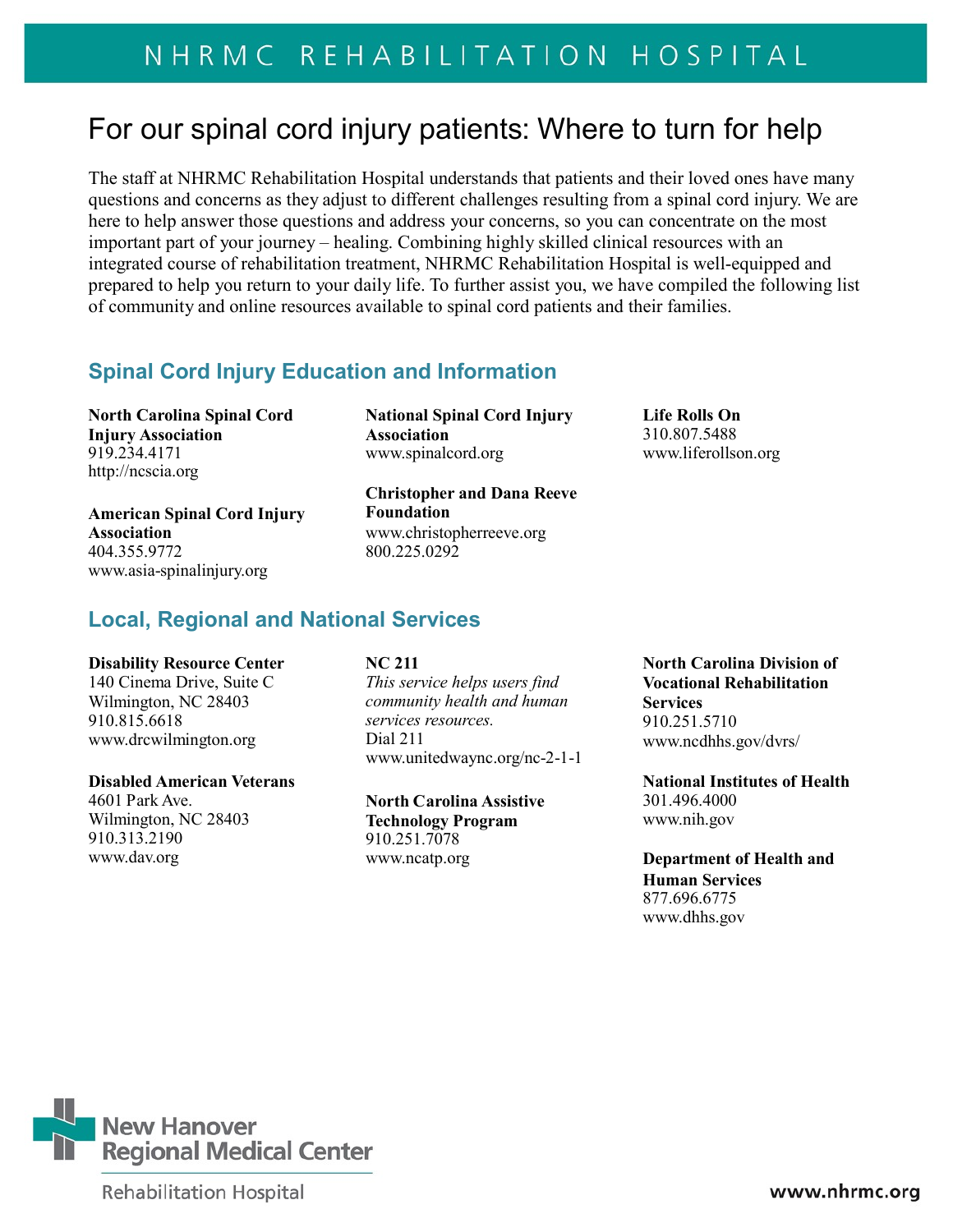# NHRMC REHABILITATION HOSPITAL

# For our spinal cord injury patients: Where to turn for help

The staff at NHRMC Rehabilitation Hospital understands that patients and their loved ones have many questions and concerns as they adjust to different challenges resulting from a spinal cord injury. We are here to help answer those questions and address your concerns, so you can concentrate on the most important part of your journey – healing. Combining highly skilled clinical resources with an integrated course of rehabilitation treatment, NHRMC Rehabilitation Hospital is well-equipped and prepared to help you return to your daily life. To further assist you, we have compiled the following list of community and online resources available to spinal cord patients and their families.

## **Spinal Cord Injury Education and Information**

**North Carolina Spinal Cord Injury Association** 919.234.4171 [http://ncscia.org](http://ncscia.org/)

**American Spinal Cord Injury Association** 404.355.9772 [www.asia-spinalinjury.org](http://www.asia-spinalinjury.org/)

# **Local, Regional and National Services**

#### **Disability Resource Center**

140 Cinema Drive, Suite C Wilmington, NC 28403 910.815.661[8](http://www.drcwilmington.org/) [www.drcwilmington.org](http://www.drcwilmington.org/)

#### **Disabled American Veterans**

Wilmington, NC 28403 910.313.219[0](http://www.dav.org/) [www.dav.org](http://www.dav.org/)

**National Spinal Cord Injury Association** [www.spinalcord.org](http://www.spinalcord.org/) [www.liferollson.org](http://www.liferollson.org/)

**Christopher and Dana Reeve Foundation** [www.christopherreeve.org](http://www.christopherreeve.org/) 800.225.0292

**Life Rolls On** 310.807.5488

**NC 211** *This service helps users find community health and human services resources.* Dial 21[1](http://www.unitedwaync.org/nc-2-1-1) [www.unitedwaync.org/nc-2-1-1](http://www.unitedwaync.org/nc-2-1-1)

4601 Park Ave. **North Carolina Assistive Technology Program** 910.251.707[8](http://www.ncatp.org/) [www.ncatp.org](http://www.ncatp.org/)

**North Carolina Division of Vocational Rehabilitation Services** 910.251.5710 [www.ncdhhs.gov/dvrs/](http://www.ncdhhs.gov/dvrs/)

**National Institutes of Health** 301.496.4000 [www.nih.gov](http://www.nih.gov/)

**Department of Health and Human Services** 877.696.6775 [www.dhhs.gov](http://www.dhhs.gov/)